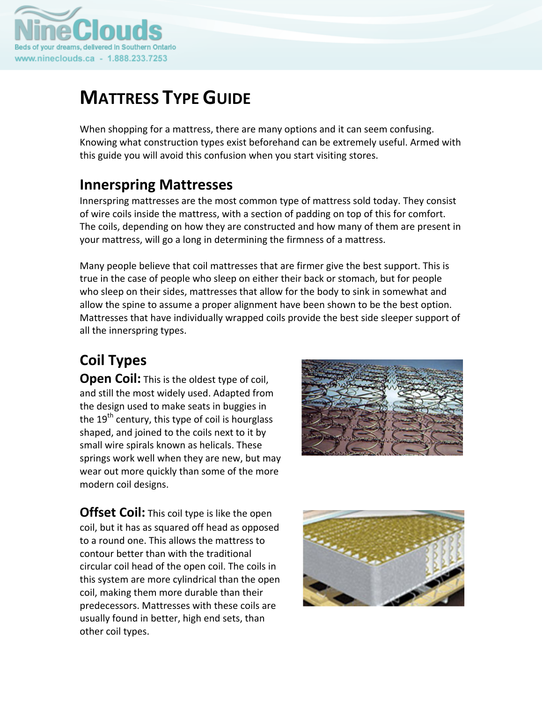

# **MATTRESS TYPE GUIDE**

When shopping for a mattress, there are many options and it can seem confusing. Knowing what construction types exist beforehand can be extremely useful. Armed with this guide you will avoid this confusion when you start visiting stores.

### **Innerspring Mattresses**

Innerspring mattresses are the most common type of mattress sold today. They consist of wire coils inside the mattress, with a section of padding on top of this for comfort. The coils, depending on how they are constructed and how many of them are present in your mattress, will go a long in determining the firmness of a mattress.

Many people believe that coil mattresses that are firmer give the best support. This is true in the case of people who sleep on either their back or stomach, but for people who sleep on their sides, mattresses that allow for the body to sink in somewhat and allow the spine to assume a proper alignment have been shown to be the best option. Mattresses that have individually wrapped coils provide the best side sleeper support of all the innerspring types.

## **Coil Types**

**Open Coil:** This is the oldest type of coil, and still the most widely used. Adapted from the design used to make seats in buggies in the  $19<sup>th</sup>$  century, this type of coil is hourglass shaped, and joined to the coils next to it by small wire spirals known as helicals. These springs work well when they are new, but may wear out more quickly than some of the more modern coil designs.



**Offset Coil:** This coil type is like the open coil, but it has as squared off head as opposed to a round one. This allows the mattress to contour better than with the traditional circular coil head of the open coil. The coils in this system are more cylindrical than the open coil, making them more durable than their predecessors. Mattresses with these coils are usually found in better, high end sets, than other coil types.

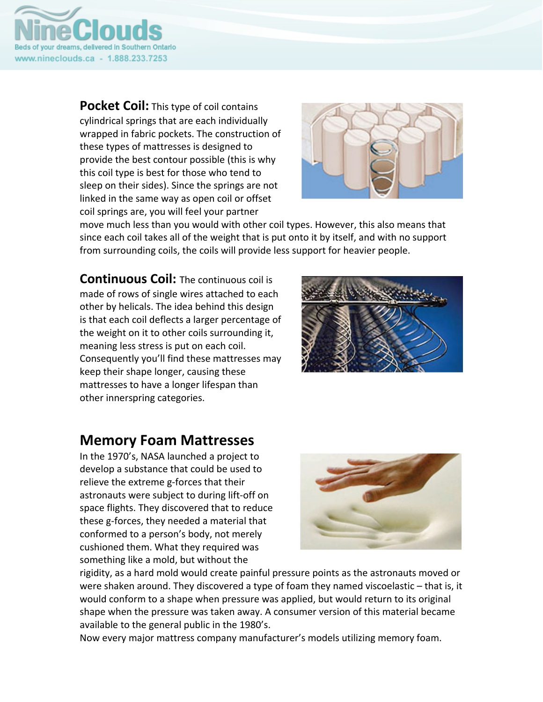

**Pocket Coil:** This type of coil contains cylindrical springs that are each individually wrapped in fabric pockets. The construction of these types of mattresses is designed to provide the best contour possible (this is why this coil type is best for those who tend to sleep on their sides). Since the springs are not linked in the same way as open coil or offset coil springs are, you will feel your partner



move much less than you would with other coil types. However, this also means that since each coil takes all of the weight that is put onto it by itself, and with no support from surrounding coils, the coils will provide less support for heavier people.

**Continuous Coil:** The continuous coil is made of rows of single wires attached to each other by helicals. The idea behind this design is that each coil deflects a larger percentage of the weight on it to other coils surrounding it, meaning less stress is put on each coil. Consequently you'll find these mattresses may keep their shape longer, causing these mattresses to have a longer lifespan than other innerspring categories.



#### **Memory Foam Mattresses**

In the 1970's, NASA launched a project to develop a substance that could be used to relieve the extreme g-forces that their astronauts were subject to during lift‐off on space flights. They discovered that to reduce these g‐forces, they needed a material that conformed to a person's body, not merely cushioned them. What they required was something like a mold, but without the



rigidity, as a hard mold would create painful pressure points as the astronauts moved or were shaken around. They discovered a type of foam they named viscoelastic – that is, it would conform to a shape when pressure was applied, but would return to its original shape when the pressure was taken away. A consumer version of this material became available to the general public in the 1980's.

Now every major mattress company manufacturer's models utilizing memory foam.